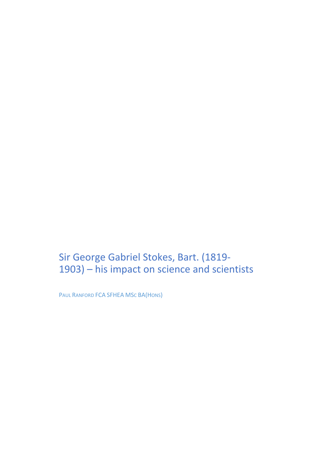Sir George Gabriel Stokes, Bart. (1819- 1903) – his impact on science and scientists

PAUL RANFORD FCA SFHEA MSC BA(HONS)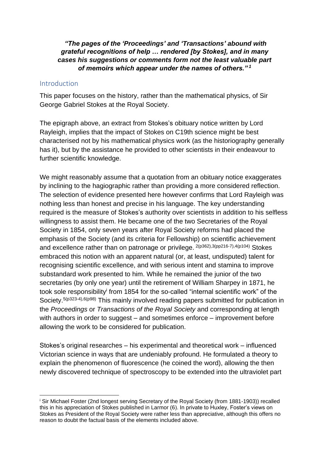*"The pages of the 'Proceedings' and 'Transactions' abound with grateful recognitions of help … rendered [by Stokes], and in many cases his suggestions or comments form not the least valuable part of memoirs which appear under the names of others." <sup>1</sup>*

#### **Introduction**

1

This paper focuses on the history, rather than the mathematical physics, of Sir George Gabriel Stokes at the Royal Society.

The epigraph above, an extract from Stokes's obituary notice written by Lord Rayleigh, implies that the impact of Stokes on C19th science might be best characterised not by his mathematical physics work (as the historiography generally has it), but by the assistance he provided to other scientists in their endeavour to further scientific knowledge.

We might reasonably assume that a quotation from an obituary notice exaggerates by inclining to the hagiographic rather than providing a more considered reflection. The selection of evidence presented here however confirms that Lord Rayleigh was nothing less than honest and precise in his language. The key understanding required is the measure of Stokes's authority over scientists in addition to his selfless willingness to assist them. He became one of the two Secretaries of the Royal Society in 1854, only seven years after Royal Society reforms had placed the emphasis of the Society (and its criteria for Fellowship) on scientific achievement and excellence rather than on patronage or privilege.  $2(p362),3(pp216-7),4(p104)$  Stokes embraced this notion with an apparent natural (or, at least, undisputed) talent for recognising scientific excellence, and with serious intent and stamina to improve substandard work presented to him. While he remained the junior of the two secretaries (by only one year) until the retirement of William Sharpey in 1871, he took sole responsibility<sup>i</sup> from 1854 for the so-called "internal scientific work" of the Society.<sup>5(p323-4),6(p98)</sup> This mainly involved reading papers submitted for publication in the *Proceedings* or *Transactions of the Royal Society* and corresponding at length with authors in order to suggest – and sometimes enforce – improvement before allowing the work to be considered for publication.

<span id="page-1-1"></span><span id="page-1-0"></span>Stokes's original researches – his experimental and theoretical work – influenced Victorian science in ways that are undeniably profound. He formulated a theory to explain the phenomenon of fluorescence (he coined the word), allowing the then newly discovered technique of spectroscopy to be extended into the ultraviolet part

<sup>&</sup>lt;sup>i</sup> Sir Michael Foster (2nd longest serving Secretary of the Royal Society (from 1881-1903)) recalled this in his appreciation of Stokes published in Larmor [\(6\)](#page-1-0). In private to Huxley, Foster's views on Stokes as President of the Royal Society were rather less than appreciative, although this offers no reason to doubt the factual basis of the elements included above.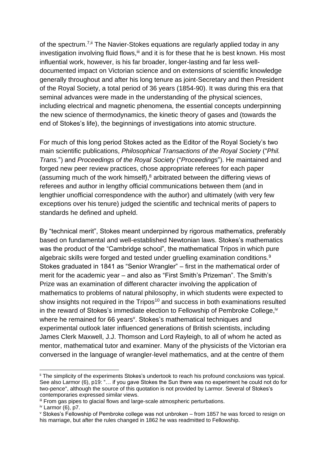of the spectrum.<sup>7,ii</sup> The Navier-Stokes equations are regularly applied today in any investigation involving fluid flows, ii and it is for these that he is best known. His most influential work, however, is his far broader, longer-lasting and far less welldocumented impact on Victorian science and on extensions of scientific knowledge generally throughout and after his long tenure as joint-Secretary and then President of the Royal Society, a total period of 36 years (1854-90). It was during this era that seminal advances were made in the understanding of the physical sciences, including electrical and magnetic phenomena, the essential concepts underpinning the new science of thermodynamics, the kinetic theory of gases and (towards the end of Stokes's life), the beginnings of investigations into atomic structure.

<span id="page-2-0"></span>For much of this long period Stokes acted as the Editor of the Royal Society's two main scientific publications, *Philosophical Transactions of the Royal Society* ("*Phil. Trans.*") and *Proceedings of the Royal Society* ("*Proceedings*"). He maintained and forged new peer review practices, chose appropriate referees for each paper (assuming much of the work himself), <sup>8</sup> arbitrated between the differing views of referees and author in lengthy official communications between them (and in lengthier unofficial correspondence with the author) and ultimately (with very few exceptions over his tenure) judged the scientific and technical merits of papers to standards he defined and upheld.

By "technical merit", Stokes meant underpinned by rigorous mathematics, preferably based on fundamental and well-established Newtonian laws. Stokes's mathematics was the product of the "Cambridge school", the mathematical Tripos in which pure algebraic skills were forged and tested under gruelling examination conditions. 9 Stokes graduated in 1841 as "Senior Wrangler" – first in the mathematical order of merit for the academic year – and also as "First Smith's Prizeman". The Smith's Prize was an examination of different character involving the application of mathematics to problems of natural philosophy, in which students were expected to show insights not required in the Tripos<sup>10</sup> and success in both examinations resulted in the reward of Stokes's immediate election to Fellowship of Pembroke College, iv where he remained for 66 years<sup>v</sup>. Stokes's mathematical techniques and experimental outlook later influenced generations of British scientists, including James Clerk Maxwell, J.J. Thomson and Lord Rayleigh, to all of whom he acted as mentor, mathematical tutor and examiner. Many of the physicists of the Victorian era conversed in the language of wrangler-level mathematics, and at the centre of them

ii The simplicity of the experiments Stokes's undertook to reach his profound conclusions was typical. See also Larmor [\(6\)](#page-1-0), p19: "... if you gave Stokes the Sun there was no experiment he could not do for two-pence", although the source of this quotation is not provided by Larmor. Several of Stokes's contemporaries expressed similar views.

iii From gas pipes to glacial flows and large-scale atmospheric perturbations.

 $iv$  Larmor [\(6\)](#page-1-0), p7.

<sup>v</sup> Stokes's Fellowship of Pembroke college was not unbroken – from 1857 he was forced to resign on his marriage, but after the rules changed in 1862 he was readmitted to Fellowship.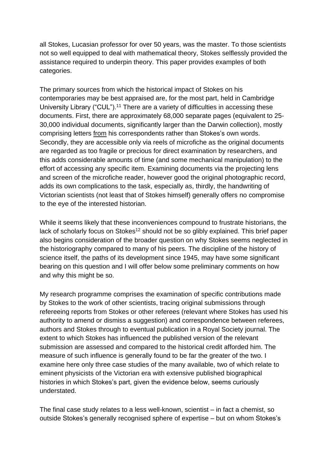all Stokes, Lucasian professor for over 50 years, was the master. To those scientists not so well equipped to deal with mathematical theory, Stokes selflessly provided the assistance required to underpin theory. This paper provides examples of both categories.

<span id="page-3-0"></span>The primary sources from which the historical impact of Stokes on his contemporaries may be best appraised are, for the most part, held in Cambridge University Library ("CUL").<sup>11</sup> There are a variety of difficulties in accessing these documents. First, there are approximately 68,000 separate pages (equivalent to 25- 30,000 individual documents, significantly larger than the Darwin collection), mostly comprising letters from his correspondents rather than Stokes's own words. Secondly, they are accessible only via reels of microfiche as the original documents are regarded as too fragile or precious for direct examination by researchers, and this adds considerable amounts of time (and some mechanical manipulation) to the effort of accessing any specific item. Examining documents via the projecting lens and screen of the microfiche reader, however good the original photographic record, adds its own complications to the task, especially as, thirdly, the handwriting of Victorian scientists (not least that of Stokes himself) generally offers no compromise to the eye of the interested historian.

While it seems likely that these inconveniences compound to frustrate historians, the lack of scholarly focus on Stokes<sup>12</sup> should not be so glibly explained. This brief paper also begins consideration of the broader question on why Stokes seems neglected in the historiography compared to many of his peers. The discipline of the history of science itself, the paths of its development since 1945, may have some significant bearing on this question and I will offer below some preliminary comments on how and why this might be so.

My research programme comprises the examination of specific contributions made by Stokes to the work of other scientists, tracing original submissions through refereeing reports from Stokes or other referees (relevant where Stokes has used his authority to amend or dismiss a suggestion) and correspondence between referees, authors and Stokes through to eventual publication in a Royal Society journal. The extent to which Stokes has influenced the published version of the relevant submission are assessed and compared to the historical credit afforded him. The measure of such influence is generally found to be far the greater of the two. I examine here only three case studies of the many available, two of which relate to eminent physicists of the Victorian era with extensive published biographical histories in which Stokes's part, given the evidence below, seems curiously understated.

The final case study relates to a less well-known, scientist – in fact a chemist, so outside Stokes's generally recognised sphere of expertise – but on whom Stokes's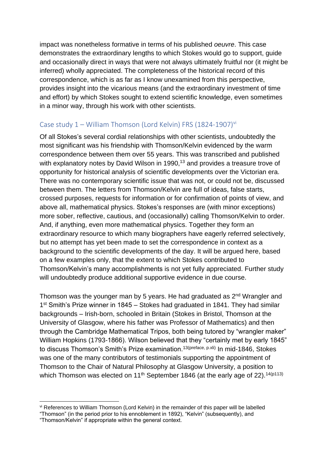impact was nonetheless formative in terms of his published *oeuvre*. This case demonstrates the extraordinary lengths to which Stokes would go to support, guide and occasionally direct in ways that were not always ultimately fruitful nor (it might be inferred) wholly appreciated. The completeness of the historical record of this correspondence, which is as far as I know unexamined from this perspective, provides insight into the vicarious means (and the extraordinary investment of time and effort) by which Stokes sought to extend scientific knowledge, even sometimes in a minor way, through his work with other scientists.

## Case study  $1 -$  William Thomson (Lord Kelvin) FRS (1824-1907)<sup>vi</sup>

<span id="page-4-0"></span>Of all Stokes's several cordial relationships with other scientists, undoubtedly the most significant was his friendship with Thomson/Kelvin evidenced by the warm correspondence between them over 55 years. This was transcribed and published with explanatory notes by David Wilson in 1990,<sup>13</sup> and provides a treasure trove of opportunity for historical analysis of scientific developments over the Victorian era. There was no contemporary scientific issue that was not, or could not be, discussed between them. The letters from Thomson/Kelvin are full of ideas, false starts, crossed purposes, requests for information or for confirmation of points of view, and above all, mathematical physics. Stokes's responses are (with minor exceptions) more sober, reflective, cautious, and (occasionally) calling Thomson/Kelvin to order. And, if anything, even more mathematical physics. Together they form an extraordinary resource to which many biographers have eagerly referred selectively, but no attempt has yet been made to set the correspondence in context as a background to the scientific developments of the day. It will be argued here, based on a few examples only, that the extent to which Stokes contributed to Thomson/Kelvin's many accomplishments is not yet fully appreciated. Further study will undoubtedly produce additional supportive evidence in due course.

Thomson was the younger man by 5 years. He had graduated as 2<sup>nd</sup> Wrangler and 1<sup>st</sup> Smith's Prize winner in 1845 – Stokes had graduated in 1841. They had similar backgrounds – Irish-born, schooled in Britain (Stokes in Bristol, Thomson at the University of Glasgow, where his father was Professor of Mathematics) and then through the Cambridge Mathematical Tripos, both being tutored by "wrangler maker" William Hopkins (1793-1866). Wilson believed that they "certainly met by early 1845" to discuss Thomson's Smith's Prize examination.<sup>[13\(](#page-4-0)preface, p.xli)</sup> In mid-1846, Stokes was one of the many contributors of testimonials supporting the appointment of Thomson to the Chair of Natural Philosophy at Glasgow University, a position to which Thomson was elected on 11<sup>th</sup> September 1846 (at the early age of 22).<sup>14(p113)</sup>

<span id="page-4-1"></span><sup>&</sup>lt;u>.</u> vi References to William Thomson (Lord Kelvin) in the remainder of this paper will be labelled

<sup>&</sup>quot;Thomson" (in the period prior to his ennoblement in 1892), "Kelvin" (subsequently), and

<sup>&</sup>quot;Thomson/Kelvin" if appropriate within the general context.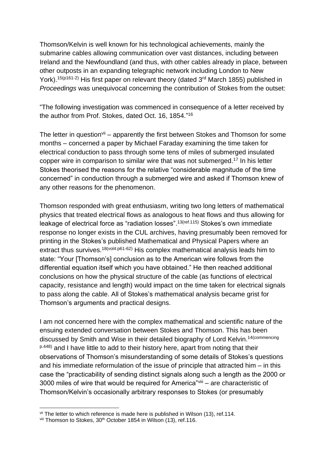Thomson/Kelvin is well known for his technological achievements, mainly the submarine cables allowing communication over vast distances, including between Ireland and the Newfoundland (and thus, with other cables already in place, between other outposts in an expanding telegraphic network including London to New York).<sup>15(p161-2)</sup> His first paper on relevant theory (dated 3<sup>rd</sup> March 1855) published in *Proceedings* was unequivocal concerning the contribution of Stokes from the outset:

<span id="page-5-0"></span>"The following investigation was commenced in consequence of a letter received by the author from Prof. Stokes, dated Oct. 16, 1854." 16

The letter in question $\theta$ <sup>ii</sup> – apparently the first between Stokes and Thomson for some months – concerned a paper by Michael Faraday examining the time taken for electrical conduction to pass through some tens of miles of submerged insulated copper wire in comparison to similar wire that was not submerged.<sup>17</sup> In his letter Stokes theorised the reasons for the relative "considerable magnitude of the time concerned" in conduction through a submerged wire and asked if Thomson knew of any other reasons for the phenomenon.

<span id="page-5-1"></span>Thomson responded with great enthusiasm, writing two long letters of mathematical physics that treated electrical flows as analogous to heat flows and thus allowing for leakage of electrical force as "radiation losses".<sup>[13\(](#page-4-0)ref.115)</sup> Stokes's own immediate response no longer exists in the CUL archives, having presumably been removed for printing in the Stokes's published Mathematical and Physical Papers where an extract thus survives.<sup>18(vol4:p61-62)</sup> His complex mathematical analysis leads him to state: "Your [Thomson's] conclusion as to the American wire follows from the differential equation itself which you have obtained." He then reached additional conclusions on how the physical structure of the cable (as functions of electrical capacity, resistance and length) would impact on the time taken for electrical signals to pass along the cable. All of Stokes's mathematical analysis became grist for Thomson's arguments and practical designs.

I am not concerned here with the complex mathematical and scientific nature of the ensuing extended conversation between Stokes and Thomson. This has been discussed by Smith and Wise in their detailed biography of Lord Kelvin.<sup>[14\(](#page-4-1)commencing</sup> p.448) and I have little to add to their history here, apart from noting that their observations of Thomson's misunderstanding of some details of Stokes's questions and his immediate reformulation of the issue of principle that attracted him – in this case the "practicability of sending distinct signals along such a length as the 2000 or 3000 miles of wire that would be required for America"viii – are characteristic of Thomson/Kelvin's occasionally arbitrary responses to Stokes (or presumably

vii The letter to which reference is made here is published in Wilson [\(13\)](#page-4-0), ref.114.

viii Thomson to Stokes, 30<sup>th</sup> October 1854 in Wilson [\(13\)](#page-4-0), ref.116.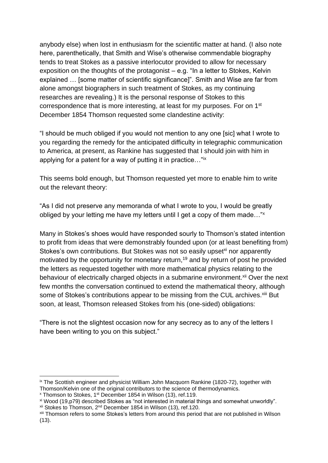anybody else) when lost in enthusiasm for the scientific matter at hand. (I also note here, parenthetically, that Smith and Wise's otherwise commendable biography tends to treat Stokes as a passive interlocutor provided to allow for necessary exposition on the thoughts of the protagonist – e.g. "In a letter to Stokes, Kelvin explained … [some matter of scientific significance]". Smith and Wise are far from alone amongst biographers in such treatment of Stokes, as my continuing researches are revealing.) It is the personal response of Stokes to this correspondence that is more interesting, at least for my purposes. For on 1<sup>st</sup> December 1854 Thomson requested some clandestine activity:

"I should be much obliged if you would not mention to any one [sic] what I wrote to you regarding the remedy for the anticipated difficulty in telegraphic communication to America, at present, as Rankine has suggested that I should join with him in applying for a patent for a way of putting it in practice…"ix

This seems bold enough, but Thomson requested yet more to enable him to write out the relevant theory:

"As I did not preserve any memoranda of what I wrote to you, I would be greatly obliged by your letting me have my letters until I get a copy of them made…"<sup>x</sup>

<span id="page-6-0"></span>Many in Stokes's shoes would have responded sourly to Thomson's stated intention to profit from ideas that were demonstrably founded upon (or at least benefiting from) Stokes's own contributions. But Stokes was not so easily upset<sup>xi</sup> nor apparently motivated by the opportunity for monetary return, <sup>19</sup> and by return of post he provided the letters as requested together with more mathematical physics relating to the behaviour of electrically charged objects in a submarine environment.<sup>xii</sup> Over the next few months the conversation continued to extend the mathematical theory, although some of Stokes's contributions appear to be missing from the CUL archives.<sup>xiii</sup> But soon, at least, Thomson released Stokes from his (one-sided) obligations:

"There is not the slightest occasion now for any secrecy as to any of the letters I have been writing to you on this subject."

<sup>&</sup>lt;sup>ix</sup> The Scottish engineer and physicist William John Macquorn Rankine (1820-72), together with Thomson/Kelvin one of the original contributors to the science of thermodynamics.

<sup>x</sup> Thomson to Stokes, 1st December 1854 in Wilson [\(13\)](#page-4-0), ref.119.

xi Wood [\(19,](#page-6-0)p79) described Stokes as "not interested in material things and somewhat unworldly".

<sup>&</sup>lt;sup>xii</sup> Stokes to Thomson, 2<sup>nd</sup> December 1854 in Wilson [\(13\)](#page-4-0), ref.120.

xiii Thomson refers to some Stokes's letters from around this period that are not published in Wilson  $(13)$ .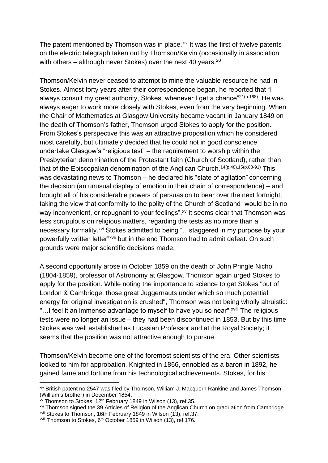The patent mentioned by Thomson was in place. $x<sub>i</sub>$  It was the first of twelve patents on the electric telegraph taken out by Thomson/Kelvin (occasionally in association with others – although never Stokes) over the next 40 years.<sup>20</sup>

Thomson/Kelvin never ceased to attempt to mine the valuable resource he had in Stokes. Almost forty years after their correspondence began, he reported that "I always consult my great authority, Stokes, whenever I get a chance" $21(p.168)$ . He was always eager to work more closely with Stokes, even from the very beginning. When the Chair of Mathematics at Glasgow University became vacant in January 1849 on the death of Thomson's father, Thomson urged Stokes to apply for the position. From Stokes's perspective this was an attractive proposition which he considered most carefully, but ultimately decided that he could not in good conscience undertake Glasgow's "religious test" – the requirement to worship within the Presbyterian denomination of the Protestant faith (Church of Scotland), rather than that of the Episcopalian denomination of the Anglican Church.<sup>[14\(](#page-4-1)p.48[\),15\(](#page-5-0)p.88-91)</sup> This was devastating news to Thomson – he declared his "state of agitation" concerning the decision (an unusual display of emotion in their chain of correspondence) – and brought all of his considerable powers of persuasion to bear over the next fortnight, taking the view that conformity to the polity of the Church of Scotland "would be in no way inconvenient, or repugnant to your feelings".<sup>xv</sup> It seems clear that Thomson was less scrupulous on religious matters, regarding the tests as no more than a necessary formality.<sup>xvi</sup> Stokes admitted to being "...staggered in my purpose by your powerfully written letter"<sup>xvii</sup> but in the end Thomson had to admit defeat. On such grounds were major scientific decisions made.

A second opportunity arose in October 1859 on the death of John Pringle Nichol (1804-1859), professor of Astronomy at Glasgow. Thomson again urged Stokes to apply for the position. While noting the importance to science to get Stokes "out of London & Cambridge, those great Juggernauts under which so much potential energy for original investigation is crushed", Thomson was not being wholly altruistic: "...I feel it an immense advantage to myself to have you so near".<sup>xviii</sup> The religious tests were no longer an issue – they had been discontinued in 1853. But by this time Stokes was well established as Lucasian Professor and at the Royal Society; it seems that the position was not attractive enough to pursue.

Thomson/Kelvin become one of the foremost scientists of the era. Other scientists looked to him for approbation. Knighted in 1866, ennobled as a baron in 1892, he gained fame and fortune from his technological achievements. Stokes, for his

<u>.</u>

xiv British patent no.2547 was filed by Thomson, William J. Macquorn Rankine and James Thomson (William's brother) in December 1854.

xv Thomson to Stokes, 12th February 1849 in Wilson [\(13\)](#page-4-0), ref.35.

xvi Thomson signed the 39 Articles of Religion of the Anglican Church on graduation from Cambridge.

xvii Stokes to Thomson, 16th February 1849 in Wilson [\(13\)](#page-4-0), ref.37.

xviii Thomson to Stokes, 6<sup>th</sup> October 1859 in Wilson [\(13\)](#page-4-0), ref.176.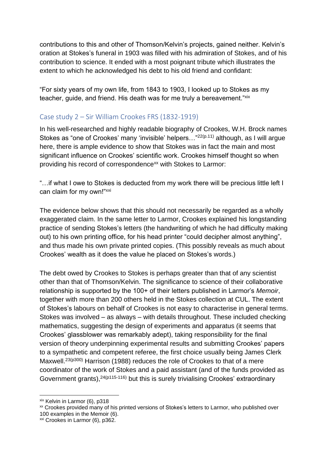contributions to this and other of Thomson/Kelvin's projects, gained neither. Kelvin's oration at Stokes's funeral in 1903 was filled with his admiration of Stokes, and of his contribution to science. It ended with a most poignant tribute which illustrates the extent to which he acknowledged his debt to his old friend and confidant:

"For sixty years of my own life, from 1843 to 1903, I looked up to Stokes as my teacher, guide, and friend. His death was for me truly a bereavement."xix

# Case study 2 – Sir William Crookes FRS (1832-1919)

<span id="page-8-0"></span>In his well-researched and highly readable biography of Crookes, W.H. Brock names Stokes as "one of Crookes' many 'invisible' helpers..."<sup>22(p.11)</sup> although, as I will argue here, there is ample evidence to show that Stokes was in fact the main and most significant influence on Crookes' scientific work. Crookes himself thought so when providing his record of correspondence<sup>xx</sup> with Stokes to Larmor:

"…if what I owe to Stokes is deducted from my work there will be precious little left I can claim for my own!"xxi

The evidence below shows that this should not necessarily be regarded as a wholly exaggerated claim. In the same letter to Larmor, Crookes explained his longstanding practice of sending Stokes's letters (the handwriting of which he had difficulty making out) to his own printing office, for his head printer "could decipher almost anything", and thus made his own private printed copies. (This possibly reveals as much about Crookes' wealth as it does the value he placed on Stokes's words.)

The debt owed by Crookes to Stokes is perhaps greater than that of any scientist other than that of Thomson/Kelvin. The significance to science of their collaborative relationship is supported by the 100+ of their letters published in Larmor's *Memoir*, together with more than 200 others held in the Stokes collection at CUL. The extent of Stokes's labours on behalf of Crookes is not easy to characterise in general terms. Stokes was involved – as always – with details throughout. These included checking mathematics, suggesting the design of experiments and apparatus (it seems that Crookes' glassblower was remarkably adept), taking responsibility for the final version of theory underpinning experimental results and submitting Crookes' papers to a sympathetic and competent referee, the first choice usually being James Clerk Maxwell.<sup>23(p300)</sup> Harrison (1988) reduces the role of Crookes to that of a mere coordinator of the work of Stokes and a paid assistant (and of the funds provided as Government grants), $24(p115-116)$  but this is surely trivialising Crookes' extraordinary

<span id="page-8-1"></span>xix Kelvin in Larmor [\(6\)](#page-1-0), p318

xx Crookes provided many of his printed versions of Stokes's letters to Larmor, who published over 100 examples in the Memoir [\(6\)](#page-1-0).

xxi Crookes in Larmor [\(6\)](#page-1-0), p362.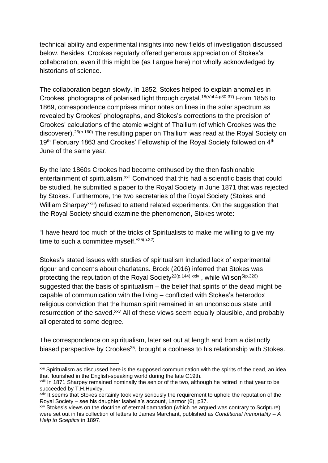technical ability and experimental insights into new fields of investigation discussed below. Besides, Crookes regularly offered generous appreciation of Stokes's collaboration, even if this might be (as I argue here) not wholly acknowledged by historians of science.

The collaboration began slowly. In 1852, Stokes helped to explain anomalies in Crookes' photographs of polarised light through crystal.<sup>[18\(](#page-5-1)Vol 4:p30-37)</sup> From 1856 to 1869, correspondence comprises minor notes on lines in the solar spectrum as revealed by Crookes' photographs, and Stokes's corrections to the precision of Crookes' calculations of the atomic weight of Thallium (of which Crookes was the discoverer).<sup>[26\(](#page-10-0)p.160)</sup> The resulting paper on Thallium was read at the Royal Society on 19<sup>th</sup> February 1863 and Crookes' Fellowship of the Royal Society followed on 4<sup>th</sup> June of the same year.

By the late 1860s Crookes had become enthused by the then fashionable entertainment of spiritualism.<sup>xxii</sup> Convinced that this had a scientific basis that could be studied, he submitted a paper to the Royal Society in June 1871 that was rejected by Stokes. Furthermore, the two secretaries of the Royal Society (Stokes and William Sharpey<sup>xxiii</sup>) refused to attend related experiments. On the suggestion that the Royal Society should examine the phenomenon, Stokes wrote:

<span id="page-9-0"></span>"I have heard too much of the tricks of Spiritualists to make me willing to give my time to such a committee myself."25(p.32)

Stokes's stated issues with studies of spiritualism included lack of experimental rigour and concerns about charlatans. Brock (2016) inferred that Stokes was protecting the reputation of the Royal Society<sup>[22\(p](#page-8-0).144),xxiv</sup>, while Wilson<sup>[5\(](#page-1-1)p.326)</sup> suggested that the basis of spiritualism – the belief that spirits of the dead might be capable of communication with the living – conflicted with Stokes's heterodox religious conviction that the human spirit remained in an unconscious state until resurrection of the saved.<sup>xxv</sup> All of these views seem equally plausible, and probably all operated to some degree.

The correspondence on spiritualism, later set out at length and from a distinctly biased perspective by Crookes<sup>[25](#page-9-0)</sup>, brought a coolness to his relationship with Stokes.

<sup>1</sup> <sup>xxii</sup> Spiritualism as discussed here is the supposed communication with the spirits of the dead, an idea that flourished in the English-speaking world during the late C19th.

xxiii In 1871 Sharpey remained nominally the senior of the two, although he retired in that year to be succeeded by T.H. Huxley.

**xxiv** It seems that Stokes certainly took very seriously the requirement to uphold the reputation of the Royal Society – see his daughter Isabella's account, Larmor [\(6\)](#page-1-0), p37.

xxv Stokes's views on the doctrine of eternal damnation (which he argued was contrary to Scripture) were set out in his collection of letters to James Marchant, published as *Conditional Immortality – A Help to Sceptics* in 1897.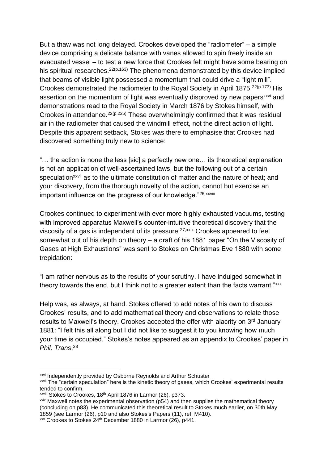But a thaw was not long delayed. Crookes developed the "radiometer" – a simple device comprising a delicate balance with vanes allowed to spin freely inside an evacuated vessel – to test a new force that Crookes felt might have some bearing on his spiritual researches.<sup>[22\(](#page-8-0)p.163)</sup> The phenomena demonstrated by this device implied that beams of visible light possessed a momentum that could drive a "light mill". Crookes demonstrated the radiometer to the Royal Society in April 1875.<sup>[22\(](#page-8-0)p.173)</sup> His assertion on the momentum of light was eventually disproved by new papers<sup>xxvi</sup> and demonstrations read to the Royal Society in March 1876 by Stokes himself, with Crookes in attendance.<sup>[22\(p](#page-8-0).225)</sup> These overwhelmingly confirmed that it was residual air in the radiometer that caused the windmill effect, not the direct action of light. Despite this apparent setback, Stokes was there to emphasise that Crookes had discovered something truly new to science:

"… the action is none the less [sic] a perfectly new one… its theoretical explanation is not an application of well-ascertained laws, but the following out of a certain speculation<sup>xxvii</sup> as to the ultimate constitution of matter and the nature of heat; and your discovery, from the thorough novelty of the action, cannot but exercise an important influence on the progress of our knowledge."26, xxviii

<span id="page-10-0"></span>Crookes continued to experiment with ever more highly exhausted vacuums, testing with improved apparatus Maxwell's counter-intuitive theoretical discovery that the viscosity of a gas is independent of its pressure.27,xxix Crookes appeared to feel somewhat out of his depth on theory – a draft of his 1881 paper "On the Viscosity of Gases at High Exhaustions" was sent to Stokes on Christmas Eve 1880 with some trepidation:

"I am rather nervous as to the results of your scrutiny. I have indulged somewhat in theory towards the end, but I think not to a greater extent than the facts warrant."xxx

Help was, as always, at hand. Stokes offered to add notes of his own to discuss Crookes' results, and to add mathematical theory and observations to relate those results to Maxwell's theory. Crookes accepted the offer with alacrity on 3<sup>rd</sup> January 1881: "I felt this all along but I did not like to suggest it to you knowing how much your time is occupied." Stokes's notes appeared as an appendix to Crookes' paper in *Phil. Trans*. 28

**xxvi Independently provided by Osborne Reynolds and Arthur Schuster** 

xxvii The "certain speculation" here is the kinetic theory of gases, which Crookes' experimental results tended to confirm.

xxviii Stokes to Crookes, 18<sup>th</sup> April 1876 in Larmor [\(26\)](#page-10-0), p373.

 $x$ <sup>xxix</sup> Maxwell notes the experimental observation ( $p54$ ) and then supplies the mathematical theory (concluding on p83). He communicated this theoretical result to Stokes much earlier, on 30th May 1859 (see Larmor [\(26\)](#page-10-0), p10 and also Stokes's Papers [\(11\)](#page-3-0), ref. M410).

 $x\$  Crookes to Stokes 24<sup>th</sup> December 1880 in Larmor [\(26\)](#page-10-0), p441.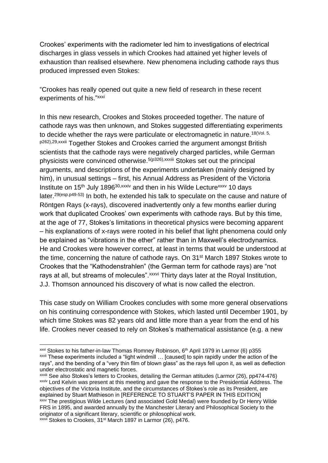Crookes' experiments with the radiometer led him to investigations of electrical discharges in glass vessels in which Crookes had attained yet higher levels of exhaustion than realised elsewhere. New phenomena including cathode rays thus produced impressed even Stokes:

"Crookes has really opened out quite a new field of research in these recent experiments of his."xxxi

<span id="page-11-0"></span>In this new research, Crookes and Stokes proceeded together. The nature of cathode rays was then unknown, and Stokes suggested differentiating experiments to decide whether the rays were particulate or electromagnetic in nature.<sup>[18\(](#page-5-1)Vol. 5,</sup> p262), 29, xxxii Together Stokes and Crookes carried the argument amongst British scientists that the cathode rays were negatively charged particles, while German physicists were convinced otherwise.[5\(](#page-1-1)p326),xxxiii Stokes set out the principal arguments, and descriptions of the experiments undertaken (mainly designed by him), in unusual settings – first, his Annual Address as President of the Victoria Institute on  $15<sup>th</sup>$  July 1896<sup>30, xxxiv</sup> and then in his Wilde Lecture<sup>xxxv</sup> 10 days later.<sup>[29\(](#page-11-0)esp.p49-53)</sup> In both, he extended his talk to speculate on the cause and nature of Röntgen Rays (x-rays), discovered inadvertently only a few months earlier during work that duplicated Crookes' own experiments with cathode rays. But by this time, at the age of 77, Stokes's limitations in theoretical physics were becoming apparent – his explanations of x-rays were rooted in his belief that light phenomena could only be explained as "vibrations in the ether" rather than in Maxwell's electrodynamics. He and Crookes were however correct, at least in terms that would be understood at the time, concerning the nature of cathode rays. On 31st March 1897 Stokes wrote to Crookes that the "Kathodenstrahlen" (the German term for cathode rays) are "not rays at all, but streams of molecules". *xxxvi* Thirty days later at the Royal Institution, J.J. Thomson announced his discovery of what is now called the electron.

This case study on William Crookes concludes with some more general observations on his continuing correspondence with Stokes, which lasted until December 1901, by which time Stokes was 82 years old and little more than a year from the end of his life. Crookes never ceased to rely on Stokes's mathematical assistance (e.g. a new

 $xxi$  Stokes to his father-in-law Thomas Romney Robinson,  $6<sup>th</sup>$  April 1979 in Larmor [\(6\)](#page-1-0) p355 xxxii These experiments included a "light windmill … [caused] to spin rapidly under the action of the rays", and the bending of a "very thin film of blown glass" as the rays fell upon it, as well as deflection under electrostatic and magnetic forces.

xxxiii See also Stokes's letters to Crookes, detailing the German attitudes (Larmor [\(26\)](#page-10-0), pp474-476) xxxiv Lord Kelvin was present at this meeting and gave the response to the Presidential Address. The objectives of the Victoria Institute, and the circumstances of Stokes's role as its President, are explained by Stuart Mathieson in [REFERENCE TO STUART'S PAPER IN THIS EDITION] xxx<sup>y</sup> The prestigious Wilde Lectures (and associated Gold Medal) were founded by Dr Henry Wilde FRS in 1895, and awarded annually by the Manchester Literary and Philosophical Society to the originator of a significant literary, scientific or philosophical work. xxxvi Stokes to Crookes, 31<sup>st</sup> March 1897 in Larmor [\(26\)](#page-10-0), p476.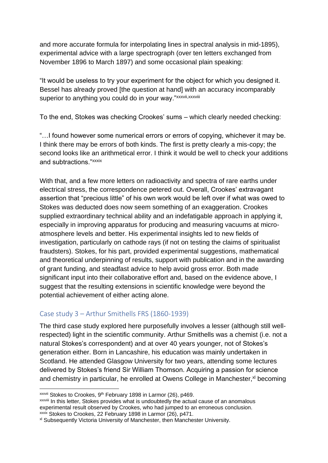and more accurate formula for interpolating lines in spectral analysis in mid-1895), experimental advice with a large spectrograph (over ten letters exchanged from November 1896 to March 1897) and some occasional plain speaking:

"It would be useless to try your experiment for the object for which you designed it. Bessel has already proved [the question at hand] with an accuracy incomparably superior to anything you could do in your way."xxxvii,xxxviii

To the end, Stokes was checking Crookes' sums – which clearly needed checking:

"…I found however some numerical errors or errors of copying, whichever it may be. I think there may be errors of both kinds. The first is pretty clearly a mis-copy; the second looks like an arithmetical error. I think it would be well to check your additions and subtractions."xxxix

With that, and a few more letters on radioactivity and spectra of rare earths under electrical stress, the correspondence petered out. Overall, Crookes' extravagant assertion that "precious little" of his own work would be left over if what was owed to Stokes was deducted does now seem something of an exaggeration. Crookes supplied extraordinary technical ability and an indefatigable approach in applying it, especially in improving apparatus for producing and measuring vacuums at microatmosphere levels and better. His experimental insights led to new fields of investigation, particularly on cathode rays (if not on testing the claims of spiritualist fraudsters). Stokes, for his part, provided experimental suggestions, mathematical and theoretical underpinning of results, support with publication and in the awarding of grant funding, and steadfast advice to help avoid gross error. Both made significant input into their collaborative effort and, based on the evidence above, I suggest that the resulting extensions in scientific knowledge were beyond the potential achievement of either acting alone.

# Case study 3 – Arthur Smithells FRS (1860-1939)

The third case study explored here purposefully involves a lesser (although still wellrespected) light in the scientific community. Arthur Smithells was a chemist (i.e. not a natural Stokes's correspondent) and at over 40 years younger, not of Stokes's generation either. Born in Lancashire, his education was mainly undertaken in Scotland. He attended Glasgow University for two years, attending some lectures delivered by Stokes's friend Sir William Thomson. Acquiring a passion for science and chemistry in particular, he enrolled at Owens College in Manchester,<sup>xl</sup> becoming

<sup>&</sup>lt;sup>xxxvii</sup> Stokes to Crookes, 9<sup>th</sup> February 1898 in Larmor [\(26\)](#page-10-0), p469.

xxxviii In this letter, Stokes provides what is undoubtedly the actual cause of an anomalous experimental result observed by Crookes, who had jumped to an erroneous conclusion. xxxix Stokes to Crookes, 22 February 1898 in Larmor [\(26\)](#page-10-0), p471.

xl Subsequently Victoria University of Manchester, then Manchester University.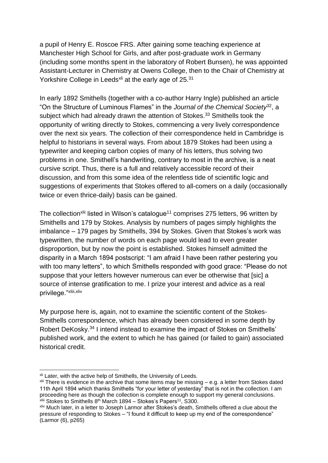a pupil of Henry E. Roscoe FRS. After gaining some teaching experience at Manchester High School for Girls, and after post-graduate work in Germany (including some months spent in the laboratory of Robert Bunsen), he was appointed Assistant-Lecturer in Chemistry at Owens College, then to the Chair of Chemistry at Yorkshire College in Leeds<sup>xli</sup> at the early age of 25.<sup>31</sup>

In early 1892 Smithells (together with a co-author Harry Ingle) published an article "On the Structure of Luminous Flames" in the *Journal of the Chemical Society*<sup>32</sup>, a subject which had already drawn the attention of Stokes.<sup>33</sup> Smithells took the opportunity of writing directly to Stokes, commencing a very lively correspondence over the next six years. The collection of their correspondence held in Cambridge is helpful to historians in several ways. From about 1879 Stokes had been using a typewriter and keeping carbon copies of many of his letters, thus solving two problems in one. Smithell's handwriting, contrary to most in the archive, is a neat cursive script. Thus, there is a full and relatively accessible record of their discussion, and from this some idea of the relentless tide of scientific logic and suggestions of experiments that Stokes offered to all-comers on a daily (occasionally twice or even thrice-daily) basis can be gained.

The collection<sup>xlii</sup> listed in Wilson's catalogue<sup>[11](#page-3-0)</sup> comprises 275 letters, 96 written by Smithells and 179 by Stokes. Analysis by numbers of pages simply highlights the imbalance – 179 pages by Smithells, 394 by Stokes. Given that Stokes's work was typewritten, the number of words on each page would lead to even greater disproportion, but by now the point is established. Stokes himself admitted the disparity in a March 1894 postscript: "I am afraid I have been rather pestering you with too many letters", to which Smithells responded with good grace: "Please do not suppose that your letters however numerous can ever be otherwise that [sic] a source of intense gratification to me. I prize your interest and advice as a real privilege."xliii,xliv

<span id="page-13-0"></span>My purpose here is, again, not to examine the scientific content of the Stokes-Smithells correspondence, which has already been considered in some depth by Robert DeKosky.<sup>34</sup> I intend instead to examine the impact of Stokes on Smithells' published work, and the extent to which he has gained (or failed to gain) associated historical credit.

<sup>&</sup>lt;sup>xli</sup> Later, with the active help of Smithells, the University of Leeds.

 $x$ <sup>Iii</sup> There is evidence in the archive that some items may be missing  $-$  e.g. a letter from Stokes dated 11th April 1894 which thanks Smithells "for your letter of yesterday" that is not in the collection. I am proceeding here as though the collection is complete enough to support my general conclusions. xliii Stokes to Smithells 8<sup>th</sup> March 1894 – Stokes's Papers<sup>[11](#page-3-0)</sup>, S300.

xliv Much later, in a letter to Joseph Larmor after Stokes's death, Smithells offered a clue about the pressure of responding to Stokes – "I found it difficult to keep up my end of the correspondence" (Larmor (6), p265)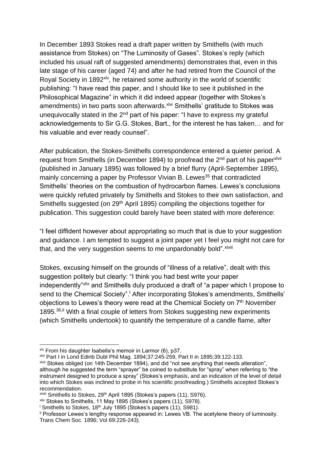In December 1893 Stokes read a draft paper written by Smithells (with much assistance from Stokes) on "The Luminosity of Gases". Stokes's reply (which included his usual raft of suggested amendments) demonstrates that, even in this late stage of his career (aged 74) and after he had retired from the Council of the Royal Society in 1892<sup>xlv</sup>, he retained some authority in the world of scientific publishing: "I have read this paper, and I should like to see it published in the Philosophical Magazine" in which it did indeed appear (together with Stokes's amendments) in two parts soon afterwards.<sup>xlvi</sup> Smithells' gratitude to Stokes was unequivocally stated in the 2<sup>nd</sup> part of his paper: "I have to express my grateful acknowledgements to Sir G.G. Stokes, Bart., for the interest he has taken… and for his valuable and ever ready counsel".

After publication, the Stokes-Smithells correspondence entered a quieter period. A request from Smithells (in December 1894) to proofread the 2<sup>nd</sup> part of his paper<sup>xlvii</sup> (published in January 1895) was followed by a brief flurry (April-September 1895), mainly concerning a paper by Professor Vivian B. Lewes<sup>35</sup> that contradicted Smithells' theories on the combustion of hydrocarbon flames. Lewes's conclusions were quickly refuted privately by Smithells and Stokes to their own satisfaction, and Smithells suggested (on 29<sup>th</sup> April 1895) compiling the objections together for publication. This suggestion could barely have been stated with more deference:

"I feel diffident however about appropriating so much that is due to your suggestion and guidance. I am tempted to suggest a joint paper yet I feel you might not care for that, and the very suggestion seems to me unpardonably bold". xlviii

Stokes, excusing himself on the grounds of "illness of a relative", dealt with this suggestion politely but clearly: "I think you had best write your paper independently"xlix and Smithells duly produced a draft of "a paper which I propose to send to the Chemical Society".<sup>1</sup> After incorporating Stokes's amendments, Smithells' objections to Lewes's theory were read at the Chemical Society on  $7<sup>th</sup>$  November 1895.<sup>36,li</sup> With a final couple of letters from Stokes suggesting new experiments (which Smithells undertook) to quantify the temperature of a candle flame, after

 $x/v$  From his daughter Isabella's memoir in Larmor (6), p37.

xlvi Part I in Lond Edinb Dubl Phil Mag. 1894;37:245-259, Part II in 1895;39:122-133.

xlvii Stokes obliged (on 14th December 1894), and did "not see anything that needs alteration", although he suggested the term "sprayer" be coined to substitute for "spray" when referring to "the instrument designed to produce a spray" (Stokes's emphasis, and an indication of the level of detail into which Stokes was inclined to probe in his scientific proofreading.) Smithells accepted Stokes's recommendation.

xlviii Smithells to Stokes, 29th April 1895 (Stokes's papers [\(11\)](#page-3-0), S976).

 $x$ lix Stokes to Smithells, 11 May 1895 (Stokes's papers [\(11\)](#page-3-0), S978).

<sup>l</sup> Smithells to Stokes, 18th July 1895 (Stokes's papers [\(11\)](#page-3-0), S981).

li Professor Lewes's lengthy response appeared in: Lewes VB. The acetylene theory of luminosity. Trans Chem Soc. 1896; Vol 69:226-243).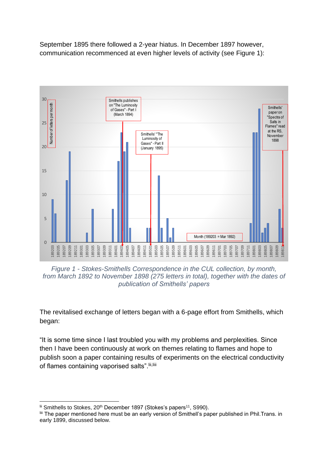September 1895 there followed a 2-year hiatus. In December 1897 however, communication recommenced at even higher levels of activity (see Figure 1):



*Figure 1 - Stokes-Smithells Correspondence in the CUL collection, by month, from March 1892 to November 1898 (275 letters in total), together with the dates of publication of Smithells' papers*

The revitalised exchange of letters began with a 6-page effort from Smithells, which began:

<span id="page-15-0"></span>"It is some time since I last troubled you with my problems and perplexities. Since then I have been continuously at work on themes relating to flames and hope to publish soon a paper containing results of experiments on the electrical conductivity of flames containing vaporised salts". Iii, liii

<sup>&</sup>lt;u>.</u>  $\frac{1}{10}$  Smithells to Stokes, 20<sup>th</sup> December 1897 (Stokes's papers<sup>[11](#page-3-0)</sup>, S990).

liii The paper mentioned here must be an early version of Smithell's paper published in Phil.Trans. in early 1899, discussed below.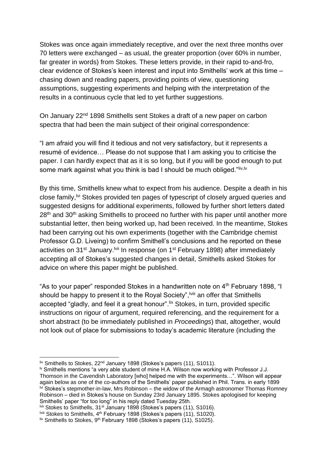Stokes was once again immediately receptive, and over the next three months over 70 letters were exchanged – as usual, the greater proportion (over 60% in number, far greater in words) from Stokes. These letters provide, in their rapid to-and-fro, clear evidence of Stokes's keen interest and input into Smithells' work at this time – chasing down and reading papers, providing points of view, questioning assumptions, suggesting experiments and helping with the interpretation of the results in a continuous cycle that led to yet further suggestions.

On January 22<sup>nd</sup> 1898 Smithells sent Stokes a draft of a new paper on carbon spectra that had been the main subject of their original correspondence:

"I am afraid you will find it tedious and not very satisfactory, but it represents a resumé of evidence… Please do not suppose that I am asking you to criticise the paper. I can hardly expect that as it is so long, but if you will be good enough to put some mark against what you think is bad I should be much obliged."liv,ly

By this time, Smithells knew what to expect from his audience. Despite a death in his close family,<sup>Ivi</sup> Stokes provided ten pages of typescript of closely argued queries and suggested designs for additional experiments, followed by further short letters dated 28<sup>th</sup> and 30<sup>th</sup> asking Smithells to proceed no further with his paper until another more substantial letter, then being worked up, had been received. In the meantime, Stokes had been carrying out his own experiments (together with the Cambridge chemist Professor G.D. Liveing) to confirm Smithell's conclusions and he reported on these activities on 31<sup>st</sup> January.<sup>Ivii</sup> In response (on 1<sup>st</sup> February 1898) after immediately accepting all of Stokes's suggested changes in detail, Smithells asked Stokes for advice on where this paper might be published.

"As to your paper" responded Stokes in a handwritten note on 4<sup>th</sup> February 1898, "I should be happy to present it to the Royal Society", <sup>Iviii</sup> an offer that Smithells accepted "gladly, and feel it a great honour".<sup>lix</sup> Stokes, in turn, provided specific instructions on rigour of argument, required referencing, and the requirement for a short abstract (to be immediately published in *Proceedings*) that, altogether, would not look out of place for submissions to today's academic literature (including the

liv Smithells to Stokes, 22nd January 1898 (Stokes's papers [\(11\)](#page-3-0), S1011).

 $\mu$  Smithells mentions "a very able student of mine H.A. Wilson now working with Professor J.J. Thomson in the Cavendish Laboratory [who] helped me with the experiments…". Wilson will appear again below as one of the co-authors of the Smithells' paper published in Phil. Trans. in early 1899  $\frac{1}{N}$  Stokes's stepmother-in-law, Mrs Robinson – the widow of the Armagh astronomer Thomas Romney Robinson – died in Stokes's house on Sunday 23rd January 1895. Stokes apologised for keeping Smithells' paper "for too long" in his reply dated Tuesday 25th.

will Stokes to Smithells, 31<sup>st</sup> January 1898 (Stokes's papers [\(11\)](#page-3-0), S1016).

lviii Stokes to Smithells, 4<sup>th</sup> February 1898 (Stokes's papers [\(11\)](#page-3-0), S1020).

 $\frac{1}{x}$  Smithells to Stokes, 9<sup>th</sup> February 1898 (Stokes's papers [\(11\)](#page-3-0), S1025).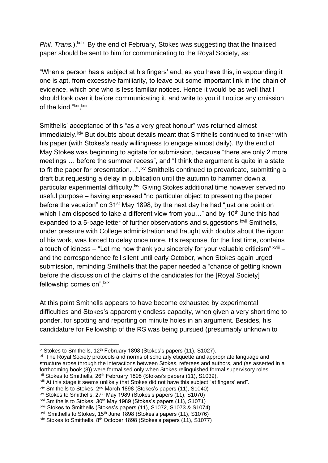*Phil. Trans.*).<sup>1x, lxi</sup> By the end of February, Stokes was suggesting that the finalised paper should be sent to him for communicating to the Royal Society, as:

"When a person has a subject at his fingers' end, as you have this, in expounding it one is apt, from excessive familiarity, to leave out some important link in the chain of evidence, which one who is less familiar notices. Hence it would be as well that I should look over it before communicating it, and write to you if I notice any omission of the kind."<sup>Ixii</sup>,<sup>Ixiii</sup>

Smithells' acceptance of this "as a very great honour" was returned almost immediately.<sup>Ixiv</sup> But doubts about details meant that Smithells continued to tinker with his paper (with Stokes's ready willingness to engage almost daily). By the end of May Stokes was beginning to agitate for submission, because "there are only 2 more meetings … before the summer recess", and "I think the argument is quite in a state to fit the paper for presentation...".<sup>|xv</sup> Smithells continued to prevaricate, submitting a draft but requesting a delay in publication until the autumn to hammer down a particular experimental difficulty. **Exxtlere Stokes additional time however served no** useful purpose – having expressed "no particular object to presenting the paper before the vacation" on 31st May 1898, by the next day he had "just one point on which I am disposed to take a different view from you..." and by 10<sup>th</sup> June this had expanded to a 5-page letter of further observations and suggestions.<sup>Ixvii</sup> Smithells, under pressure with College administration and fraught with doubts about the rigour of his work, was forced to delay once more. His response, for the first time, contains a touch of iciness – "Let me now thank you sincerely for your valuable criticism" $\frac{1}{x}$  – and the correspondence fell silent until early October, when Stokes again urged submission, reminding Smithells that the paper needed a "chance of getting known before the discussion of the claims of the candidates for the [Royal Society] fellowship comes on". Ixix

At this point Smithells appears to have become exhausted by experimental difficulties and Stokes's apparently endless capacity, when given a very short time to ponder, for spotting and reporting on minute holes in an argument. Besides, his candidature for Fellowship of the RS was being pursued (presumably unknown to

<sup>&</sup>lt;sup>1x</sup> Stokes to Smithells, 12<sup>th</sup> February 1898 (Stokes's papers [\(11\)](#page-3-0), S1027).

<sup>&</sup>lt;sup>ki</sup> The Royal Society protocols and norms of scholarly etiquette and appropriate language and structure arose through the interactions between Stokes, referees and authors, and (as asserted in a forthcoming book [\(8\)](#page-2-0)) were formalised only when Stokes relinquished formal supervisory roles.  $\frac{1}{x}$  Stokes to Smithells, 26<sup>th</sup> February 1898 (Stokes's papers [\(11\)](#page-3-0), S1039).

<sup>&</sup>lt;sup>Ixiii</sup> At this stage it seems unlikely that Stokes did not have this subject "at fingers' end".

 $\frac{1}{x}$ <sup>ixiv</sup> Smithells to Stokes, 2<sup>nd</sup> March 1898 (Stokes's papers [\(11\)](#page-3-0), S1040)

<sup>&</sup>lt;sup>lxv</sup> Stokes to Smithells, 27<sup>th</sup> May 1989 (Stokes's papers [\(11\)](#page-3-0), S1070)

<sup>&</sup>lt;sup>lxvi</sup> Smithells to Stokes, 30<sup>th</sup> May 1989 (Stokes's papers [\(11\)](#page-3-0), S1071)

lxvii Stokes to Smithells (Stokes's papers [\(11\)](#page-3-0), S1072, S1073 & S1074)

lxviii Smithells to Stokes, 15<sup>th</sup> June 1898 (Stokes's papers [\(11\)](#page-3-0), S1076)

 $\frac{1}{x}$  Stokes to Smithells,  $8^{th}$  October 1898 (Stokes's papers [\(11\)](#page-3-0), S1077)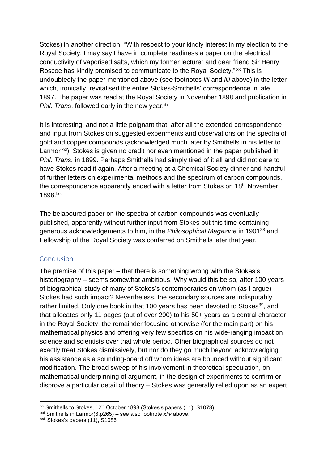Stokes) in another direction: "With respect to your kindly interest in my election to the Royal Society, I may say I have in complete readiness a paper on the electrical conductivity of vaporised salts, which my former lecturer and dear friend Sir Henry Roscoe has kindly promised to communicate to the Royal Society."<sup>IXX</sup> This is undoubtedly the paper mentioned above (see footnotes *[liii](#page-15-0)* and *[liii](#page-15-0)* above) in the letter which, ironically, revitalised the entire Stokes-Smithells' correspondence in late 1897. The paper was read at the Royal Society in November 1898 and publication in *Phil. Trans*. followed early in the new year.<sup>37</sup>

It is interesting, and not a little poignant that, after all the extended correspondence and input from Stokes on suggested experiments and observations on the spectra of gold and copper compounds (acknowledged much later by Smithells in his letter to Larmor<sup>lxxi</sup>), Stokes is given no credit nor even mentioned in the paper published in *Phil. Trans.* in 1899. Perhaps Smithells had simply tired of it all and did not dare to have Stokes read it again. After a meeting at a Chemical Society dinner and handful of further letters on experimental methods and the spectrum of carbon compounds, the correspondence apparently ended with a letter from Stokes on 18<sup>th</sup> November 1898.lxxii

The belaboured paper on the spectra of carbon compounds was eventually published, apparently without further input from Stokes but this time containing generous acknowledgements to him, in the *Philosophical Magazine* in 1901<sup>38</sup> and Fellowship of the Royal Society was conferred on Smithells later that year.

### **Conclusion**

The premise of this paper – that there is something wrong with the Stokes's historiography – seems somewhat ambitious. Why would this be so, after 100 years of biographical study of many of Stokes's contemporaries on whom (as I argue) Stokes had such impact? Nevertheless, the secondary sources are indisputably rather limited. Only one book in that 100 years has been devoted to Stokes<sup>39</sup>, and that allocates only 11 pages (out of over 200) to his 50+ years as a central character in the Royal Society, the remainder focusing otherwise (for the main part) on his mathematical physics and offering very few specifics on his wide-ranging impact on science and scientists over that whole period. Other biographical sources do not exactly treat Stokes dismissively, but nor do they go much beyond acknowledging his assistance as a sounding-board off whom ideas are bounced without significant modification. The broad sweep of his involvement in theoretical speculation, on mathematical underpinning of argument, in the design of experiments to confirm or disprove a particular detail of theory – Stokes was generally relied upon as an expert

<sup>&</sup>lt;u>.</u>  $\frac{dx}{dx}$  Smithells to Stokes, 12<sup>th</sup> October 1898 (Stokes's papers [\(11\)](#page-3-0), S1078)

lxxi Smithells in Larmor[\(6,](#page-1-0)p265) – see also footnote *[xliv](#page-13-0)* above.

lxxii Stokes's papers [\(11\)](#page-3-0), S1086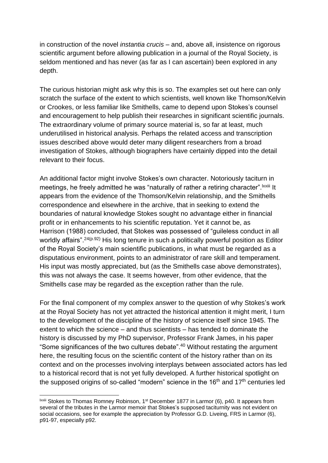in construction of the novel *instantia crucis* – and, above all, insistence on rigorous scientific argument before allowing publication in a journal of the Royal Society, is seldom mentioned and has never (as far as I can ascertain) been explored in any depth.

The curious historian might ask why this is so. The examples set out here can only scratch the surface of the extent to which scientists, well known like Thomson/Kelvin or Crookes, or less familiar like Smithells, came to depend upon Stokes's counsel and encouragement to help publish their researches in significant scientific journals. The extraordinary volume of primary source material is, so far at least, much underutilised in historical analysis. Perhaps the related access and transcription issues described above would deter many diligent researchers from a broad investigation of Stokes, although biographers have certainly dipped into the detail relevant to their focus.

An additional factor might involve Stokes's own character. Notoriously taciturn in meetings, he freely admitted he was "naturally of rather a retiring character". Ixxiii It appears from the evidence of the Thomson/Kelvin relationship, and the Smithells correspondence and elsewhere in the archive, that in seeking to extend the boundaries of natural knowledge Stokes sought no advantage either in financial profit or in enhancements to his scientific reputation. Yet it cannot be, as Harrison (1988) concluded, that Stokes was possessed of "guileless conduct in all worldly affairs".<sup>[24\(](#page-8-1)p.92)</sup> His long tenure in such a politically powerful position as Editor of the Royal Society's main scientific publications, in what must be regarded as a disputatious environment, points to an administrator of rare skill and temperament. His input was mostly appreciated, but (as the Smithells case above demonstrates), this was not always the case. It seems however, from other evidence, that the Smithells case may be regarded as the exception rather than the rule.

For the final component of my complex answer to the question of why Stokes's work at the Royal Society has not yet attracted the historical attention it might merit, I turn to the development of the discipline of the history of science itself since 1945. The extent to which the science – and thus scientists – has tended to dominate the history is discussed by my PhD supervisor, Professor Frank James, in his paper "Some significances of the two cultures debate". <sup>40</sup> Without restating the argument here, the resulting focus on the scientific content of the history rather than on its context and on the processes involving interplays between associated actors has led to a historical record that is not yet fully developed. A further historical spotlight on the supposed origins of so-called "modern" science in the  $16<sup>th</sup>$  and  $17<sup>th</sup>$  centuries led

lxxiii Stokes to Thomas Romney Robinson, 1st December 1877 in Larmor [\(6\)](#page-1-0), p40. It appears from several of the tributes in the Larmor memoir that Stokes's supposed taciturnity was not evident on social occasions, see for example the appreciation by Professor G.D. Liveing, FRS in Larmor [\(6\)](#page-1-0), p91-97, especially p92.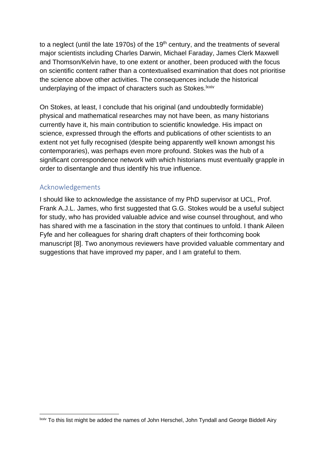to a neglect (until the late 1970s) of the  $19<sup>th</sup>$  century, and the treatments of several major scientists including Charles Darwin, Michael Faraday, James Clerk Maxwell and Thomson/Kelvin have, to one extent or another, been produced with the focus on scientific content rather than a contextualised examination that does not prioritise the science above other activities. The consequences include the historical underplaying of the impact of characters such as Stokes.<sup>Ixxiv</sup>

On Stokes, at least, I conclude that his original (and undoubtedly formidable) physical and mathematical researches may not have been, as many historians currently have it, his main contribution to scientific knowledge. His impact on science, expressed through the efforts and publications of other scientists to an extent not yet fully recognised (despite being apparently well known amongst his contemporaries), was perhaps even more profound. Stokes was the hub of a significant correspondence network with which historians must eventually grapple in order to disentangle and thus identify his true influence.

## Acknowledgements

I should like to acknowledge the assistance of my PhD supervisor at UCL, Prof. Frank A.J.L. James, who first suggested that G.G. Stokes would be a useful subject for study, who has provided valuable advice and wise counsel throughout, and who has shared with me a fascination in the story that continues to unfold. I thank Aileen Fyfe and her colleagues for sharing draft chapters of their forthcoming book manuscript [8]. Two anonymous reviewers have provided valuable commentary and suggestions that have improved my paper, and I am grateful to them.

<sup>1</sup> lxxiv To this list might be added the names of John Herschel, John Tyndall and George Biddell Airy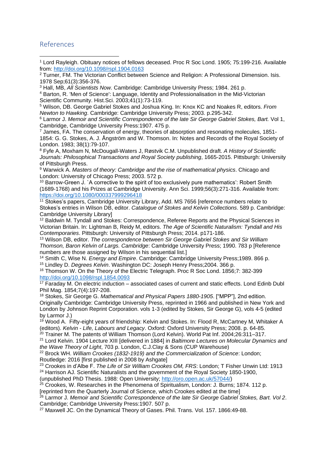#### References

1

<sup>4</sup> Barton, R. 'Men of Science': Language, Identity and Professionalisation in the Mid-Victorian Scientific Community. Hist.Sci. 2003;41(1):73-119.

<sup>5</sup> Wilson, DB. George Gabriel Stokes and Joshua King. In: Knox KC and Noakes R, editors. *From Newton to Hawking*. Cambridge: Cambridge University Press; 2003. p.295-342.

<sup>6</sup> Larmor J. *Memoir and Scientific Correspondence of the late Sir George Gabriel Stokes, Bart.* Vol 1, Cambridge, Cambridge University Press:1907. 475 p.

<sup>7</sup> James, FA. The conservation of energy, theories of absorption and resonating molecules, 1851- 1854: G. G. Stokes, A. J. Ångström and W. Thomson. In: Notes and Records of the Royal Society of London. 1983; 38(1):79-107.

<sup>8</sup> Fyfe A, Moxham N, McDougall-Waters J, Røstvik C.M. Unpublished draft. *A History of Scientific Journals: Philosophical Transactions and Royal Society publishing*, 1665-2015. Pittsburgh: University of Pittsburgh Press.

<sup>9</sup> Warwick A. *Masters of theory: Cambridge and the rise of mathematical physics*. Chicago and London: University of Chicago Press; 2003. 572 p.

<sup>10</sup> Barrow-Green J. `A corrective to the spirit of too exclusively pure mathematics': Robert Smith (1689-1768) and his Prizes at Cambridge University. Ann Sci. 1999;56(3):271-316. Available from: <https://doi.org/10.1080/000337999296418>

<sup>11</sup> Stokes's papers, Cambridge University Library, Add. MS 7656 [reference numbers relate to Stokes's entries in Wilson DB, editor. *Catalogue of Stokes and Kelvin Collections*. 589 p. Cambridge: Cambridge University Library]

<sup>12</sup> Baldwin M. Tyndall and Stokes: Correspondence, Referee Reports and the Physical Sciences in Victorian Britain. In: Lightman B, Reidy M, editors. *The Age of Scientific Naturalism: Tyndall and His Contemporaries*. Pittsburgh: University of Pittsburgh Press; 2014. p171-186.

<sup>13</sup> Wilson DB, editor. *The correspondence between Sir George Gabriel Stokes and Sir William Thomson, Baron Kelvin of Largs. Cambridge*: Cambridge University Press; 1990. 783 p [Reference numbers are those assigned by Wilson in his sequential list.]

<sup>14</sup> Smith C, Wise N. *Energy and Empire*. Cambridge: Cambridge University Press;1989. 866 p.

<sup>15</sup> Lindley D. *Degrees Kelvin*. Washington DC: Joseph Henry Press;2004. 366 p.

<sup>16</sup> Thomson W. On the Theory of the Electric Telegraph. Proc R Soc Lond. 1856;7: 382-399 <http://doi.org/10.1098/rspl.1854.0093>

 $17$  Faraday M. On electric induction  $-$  associated cases of current and static effects. Lond Edinb Dubl Phil Mag. 1854;7(4):197-208.

<sup>18</sup> Stokes, Sir George G. *Mathematical and Physical Papers 1880-1905*. ["MPP"], 2nd edition. Originally Cambridge: Cambridge University Press, reprinted in 1966 and published in New York and London by Johnson Reprint Corporation. vols 1-3 (edited by Stokes, Sir George G), vols 4-5 (edited by Larmor J.)

 $19$  Wood A. Fifty-eight years of friendship: Kelvin and Stokes. In: Flood R, McCartney M, Whitaker A (editors). *Kelvin - Life, Labours and Legacy*. Oxford: Oxford University Press; 2008. p. 64-85.

 $20$  Trainer M. The patents of William Thomson (Lord Kelvin). World Pat Inf. 2004;26:311–317.

<sup>21</sup> Lord Kelvin. 1904 Lecture XIII [delivered in 1884] in *Baltimore Lectures on Molecular Dynamics and the Wave Theory of Light*, 703 p. London, C.J.Clay & Sons (CUP Warehouse)

<sup>22</sup> Brock WH. *William Crookes (1832-1919) and the Commercialization of Science*: London; Routledge: 2016 [first published in 2008 by Ashgate]

<sup>23</sup> Crookes in d'Albe F. *The Life of Sir William Crookes OM, FRS*: London; T Fisher Unwin Ltd: 1913

<sup>24</sup> Harrison AJ. Scientific Naturalists and the government of the Royal Society 1850-1900,

(unpublished PhD Thesis. 1988: Open University; [http://oro.open.ac.uk/57044/\)](http://oro.open.ac.uk/57044/)

 $25$  Crookes, W. Researches in the Phenomena of Spiritualism, London: J. Burns; 1874. 112 p. [reprinted from the Quarterly Journal of Science, which Crookes edited at the time]

<sup>26</sup> Larmor J. *Memoir and Scientific Correspondence of the late Sir George Gabriel Stokes, Bart. Vol 2*.

Cambridge; Cambridge University Press:1907. 507 p.

<sup>27</sup> Maxwell JC. On the Dynamical Theory of Gases. Phil. Trans. Vol. 157. 1866:49-88.

<sup>1</sup> Lord Rayleigh. Obituary notices of fellows deceased. Proc R Soc Lond. 1905; 75:199-216. Available from:<http://doi.org/10.1098/rspl.1904.0163>

<sup>&</sup>lt;sup>2</sup> Turner, FM. The Victorian Conflict between Science and Religion: A Professional Dimension. Isis. 1978 Sep;61(3):356-376.

<sup>3</sup> Hall, MB, *All Scientists Now.* Cambridge: Cambridge University Press; 1984. 261 p.